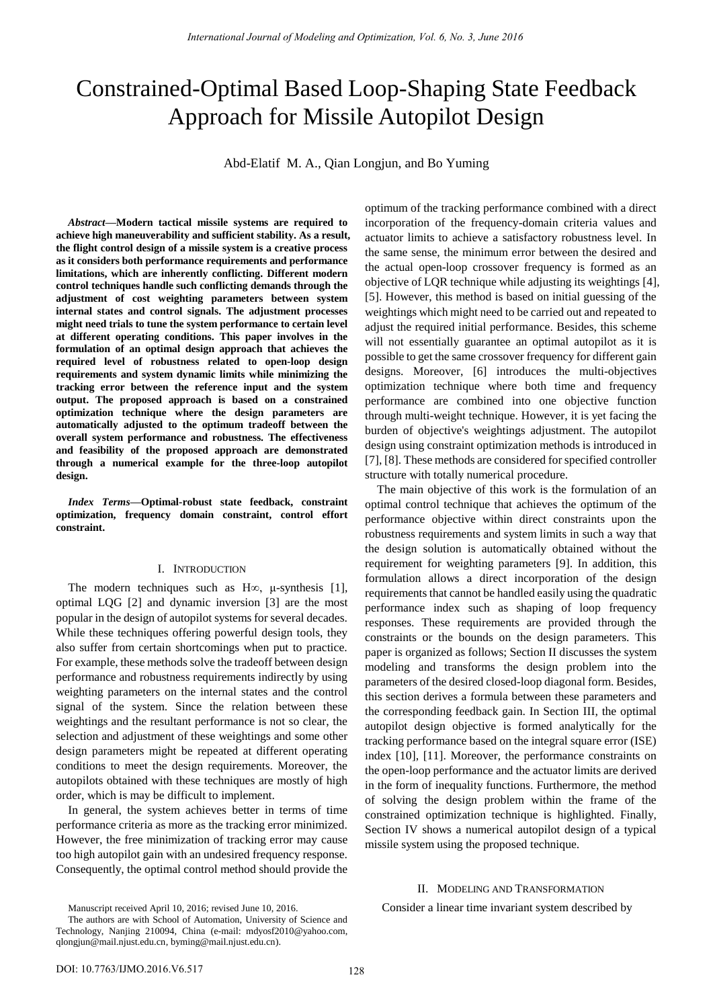# Constrained-Optimal Based Loop-Shaping State Feedback Approach for Missile Autopilot Design

Abd-Elatif M. A., Qian Longjun, and Bo Yuming

*Abstract***—Modern tactical missile systems are required to achieve high maneuverability and sufficient stability. As a result, the flight control design of a missile system is a creative process as it considers both performance requirements and performance limitations, which are inherently conflicting. Different modern control techniques handle such conflicting demands through the adjustment of cost weighting parameters between system internal states and control signals. The adjustment processes might need trials to tune the system performance to certain level at different operating conditions. This paper involves in the formulation of an optimal design approach that achieves the required level of robustness related to open-loop design requirements and system dynamic limits while minimizing the tracking error between the reference input and the system output. The proposed approach is based on a constrained optimization technique where the design parameters are automatically adjusted to the optimum tradeoff between the overall system performance and robustness. The effectiveness and feasibility of the proposed approach are demonstrated through a numerical example for the three-loop autopilot design.** 

*Index Terms***—Optimal-robust state feedback, constraint optimization, frequency domain constraint, control effort constraint.** 

# I. INTRODUCTION

The modern techniques such as  $H\infty$ ,  $\mu$ -synthesis [\[1\]](#page-6-0), optimal LQG [\[2\]](#page-6-1) and dynamic inversion [\[3\]](#page-6-2) are the most popular in the design of autopilot systems for several decades. While these techniques offering powerful design tools, they also suffer from certain shortcomings when put to practice. For example, these methods solve the tradeoff between design performance and robustness requirements indirectly by using weighting parameters on the internal states and the control signal of the system. Since the relation between these weightings and the resultant performance is not so clear, the selection and adjustment of these weightings and some other design parameters might be repeated at different operating conditions to meet the design requirements. Moreover, the autopilots obtained with these techniques are mostly of high order, which is may be difficult to implement.

In general, the system achieves better in terms of time performance criteria as more as the tracking error minimized. However, the free minimization of tracking error may cause too high autopilot gain with an undesired frequency response. Consequently, the optimal control method should provide the optimum of the tracking performance combined with a direct incorporation of the frequency-domain criteria values and actuator limits to achieve a satisfactory robustness level. In the same sense, the minimum error between the desired and the actual open-loop crossover frequency is formed as an objective of LQR technique while adjusting its weightings [\[4\]](#page-6-3), [\[5\]](#page-6-4). However, this method is based on initial guessing of the weightings which might need to be carried out and repeated to adjust the required initial performance. Besides, this scheme will not essentially guarantee an optimal autopilot as it is possible to get the same crossover frequency for different gain designs. Moreover, [\[6\]](#page-6-5) introduces the multi-objectives optimization technique where both time and frequency performance are combined into one objective function through multi-weight technique. However, it is yet facing the burden of objective's weightings adjustment. The autopilot design using constraint optimization methods is introduced in [\[7\]](#page-7-0), [\[8\]](#page-7-1). These methods are considered for specified controller structure with totally numerical procedure.

The main objective of this work is the formulation of an optimal control technique that achieves the optimum of the performance objective within direct constraints upon the robustness requirements and system limits in such a way that the design solution is automatically obtained without the requirement for weighting parameters [\[9\]](#page-7-2). In addition, this formulation allows a direct incorporation of the design requirements that cannot be handled easily using the quadratic performance index such as shaping of loop frequency responses. These requirements are provided through the constraints or the bounds on the design parameters. This paper is organized as follows; Section II discusses the system modeling and transforms the design problem into the parameters of the desired closed-loop diagonal form. Besides, this section derives a formula between these parameters and the corresponding feedback gain. In Section III, the optimal autopilot design objective is formed analytically for the tracking performance based on the integral square error (ISE) index [\[10\]](#page-7-3), [\[11\]](#page-7-4). Moreover, the performance constraints on the open-loop performance and the actuator limits are derived in the form of inequality functions. Furthermore, the method of solving the design problem within the frame of the constrained optimization technique is highlighted. Finally, Section IV shows a numerical autopilot design of a typical missile system using the proposed technique.

#### II. MODELING AND TRANSFORMATION

Manuscript received April 10, 2016; revised June 10, 2016.

Consider a linear time invariant system described by

The authors are with School of Automation, University of Science and Technology, Nanjing 210094, China (e-mail: [mdyosf2010@yahoo.com,](mailto:mdyosf2010@yahoo.com)  qlongjun@mail.njust.edu.cn, byming@mail.njust.edu.cn).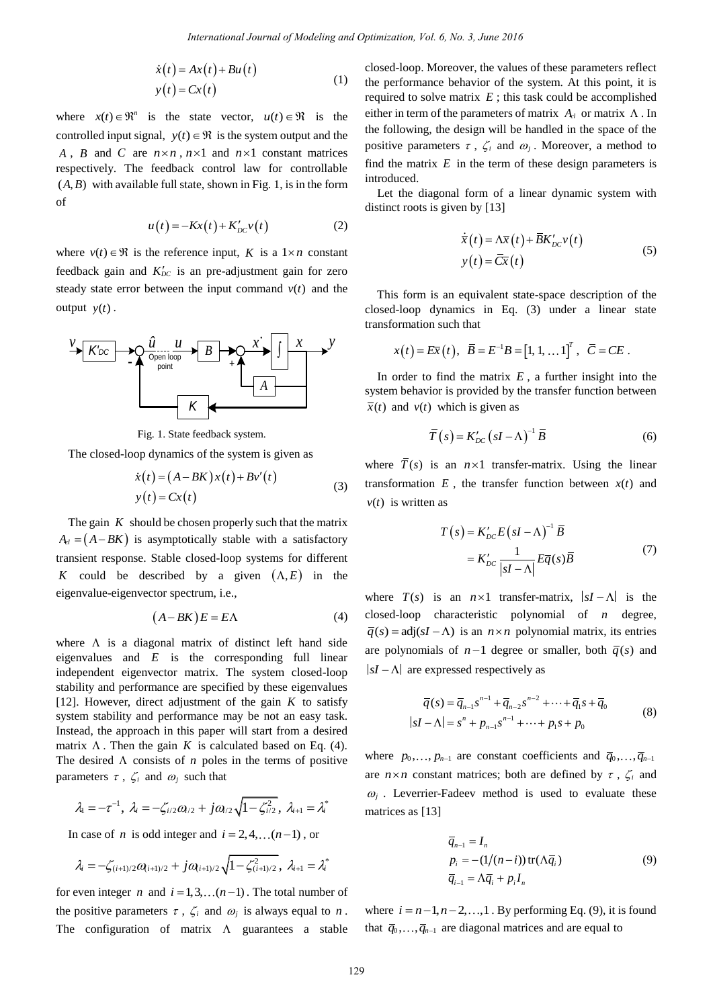$$
\dot{x}(t) = Ax(t) + Bu(t)
$$
  
\n
$$
y(t) = Cx(t)
$$
 (1)

where  $x(t) \in \mathbb{R}^n$  is the state vector,  $u(t) \in \mathbb{R}$  is the controlled input signal,  $y(t) \in \mathcal{R}$  is the system output and the *A*, *B* and *C* are  $n \times n$ ,  $n \times 1$  and  $n \times 1$  constant matrices respectively. The feedback control law for controllable  $(A, B)$  with available full state, shown in Fig. 1, is in the form of

$$
u(t) = -Kx(t) + K'_{DC}v(t)
$$
 (2)

where  $v(t) \in \mathcal{R}$  is the reference input, K is a  $1 \times n$  constant feedback gain and  $K'_{DC}$  is an pre-adjustment gain for zero steady state error between the input command  $v(t)$  and the output  $y(t)$ .



Fig. 1. State feedback system.

The closed-loop dynamics of the system is given as

$$
\dot{x}(t) = (A - BK)x(t) + Bv'(t)
$$
  
\n
$$
y(t) = Cx(t)
$$
\n(3)

The gain  $K$  should be chosen properly such that the matrix  $A_{el} = (A - BK)$  is asymptotically stable with a satisfactory transient response. Stable closed-loop systems for different K could be described by a given  $(A, E)$  in the eigenvalue-eigenvector spectrum, i.e.,

$$
(A - BK)E = E\Lambda \tag{4}
$$

where  $\Lambda$  is a diagonal matrix of distinct left hand side eigenvalues and  $E$  is the corresponding full linear independent eigenvector matrix. The system closed-loop stability and performance are specified by these eigenvalues [\[12\]](#page-7-5). However, direct adjustment of the gain  $K$  to satisfy system stability and performance may be not an easy task. Instead, the approach in this paper will start from a desired matrix  $\Lambda$ . Then the gain K is calculated based on Eq. (4). The desired  $\Lambda$  consists of  $n$  poles in the terms of positive parameters  $\tau$ ,  $\zeta_i$  and  $\omega_j$  such that *International Journal of Modeling and Optimization, Vol. 6, No. 3, June 2018*<br>  $\Delta x(t) + Ru(t)$ <br>  $\Delta x(t) + Ru(t)$ <br>  $\Delta x(t)$ <br>  $\Delta x(t)$ <br>  $\Delta x(t) = \frac{1}{2}$  and  $\Delta x$  consider the more than the value of<br>  $\Delta x(t) = \frac{1}{2}$  and  $\Delta x$  is the s

$$
\lambda_1 = -\tau^{-1}, \ \lambda_i = -\zeta_{i/2}\omega_{i/2} + j\omega_{i/2}\sqrt{1 - \zeta_{i/2}^2}, \ \lambda_{i+1} = \lambda_i^*
$$

In case of *n* is odd integer and  $i = 2, 4, \dots (n-1)$ , or

$$
\lambda_i = -\zeta_{(i+1)/2} \omega_{(i+1)/2} + j \omega_{(i+1)/2} \sqrt{1 - \zeta_{(i+1)/2}^2}, \lambda_{i+1} = \lambda_i^*
$$

for even integer *n* and  $i = 1, 3, \ldots (n-1)$ . The total number of the positive parameters  $\tau$ ,  $\zeta_i$  and  $\omega_i$  is always equal to *n*. The configuration of matrix  $\Lambda$  guarantees a stable closed-loop. Moreover, the values of these parameters reflect the performance behavior of the system. At this point, it is required to solve matrix  $E$ ; this task could be accomplished either in term of the parameters of matrix  $A_{cl}$  or matrix  $\Lambda$ . In the following, the design will be handled in the space of the positive parameters  $\tau$ ,  $\zeta_i$  and  $\omega_j$ . Moreover, a method to find the matrix  $E$  in the term of these design parameters is introduced.

Let the diagonal form of a linear dynamic system with distinct roots is given by [\[13\]](#page-7-6)

$$
\dot{\overline{x}}(t) = \Delta \overline{x}(t) + \overline{B}K'_{DC}v(t)
$$
  
\n
$$
y(t) = \overline{C}\overline{x}(t)
$$
\n(5)

This form is an equivalent state-space description of the closed-loop dynamics in Eq. (3) under a linear state transformation such that

ormation such that  

$$
x(t) = E\overline{x}(t), \ \overline{B} = E^{-1}B = [1, 1, \dots 1]^T, \ \overline{C} = CE
$$
.

In order to find the matrix  $E$ , a further insight into the system behavior is provided by the transfer function between  $\bar{x}(t)$  and  $v(t)$  which is given as

$$
\overline{T}(s) = K'_{DC} (sI - \Lambda)^{-1} \overline{B}
$$
 (6)

where  $\overline{T}(s)$  is an  $n \times 1$  transfer-matrix. Using the linear transformation  $E$ , the transfer function between  $x(t)$  and  $v(t)$  is written as

$$
T(s) = K'_{DC} E (sI - \Lambda)^{-1} \overline{B}
$$
  
=  $K'_{DC} \frac{1}{|sI - \Lambda|} E \overline{q}(s) \overline{B}$  (7)

where  $T(s)$  is an  $n \times 1$  transfer-matrix,  $|sI - \Lambda|$  is the closed-loop characteristic polynomial of *n* degree,  $\overline{q}(s) = adj(sI - \Lambda)$  is an  $n \times n$  polynomial matrix, its entries are polynomials of  $n-1$  degree or smaller, both  $\overline{q}(s)$  and  $sI - \Lambda$  are expressed respectively as

$$
\overline{q}(s) = \overline{q}_{n-1} s^{n-1} + \overline{q}_{n-2} s^{n-2} + \dots + \overline{q}_1 s + \overline{q}_0
$$
  
\n
$$
|sI - \Lambda| = s^n + p_{n-1} s^{n-1} + \dots + p_1 s + p_0
$$
\n(8)

where  $p_0, \ldots, p_{n-1}$  are constant coefficients and  $\overline{q}_0, \ldots, \overline{q}_{n-1}$ are  $n \times n$  constant matrices; both are defined by  $\tau$ ,  $\zeta$  and  $\omega_i$ . Leverrier-Fadeev method is used to evaluate these matrices as [\[13\]](#page-7-6)

$$
\overline{q}_{n-1} = I_n
$$
  
\n
$$
p_i = -(1/(n-i)) \operatorname{tr}(\Lambda \overline{q}_i)
$$
  
\n
$$
\overline{q}_{i-1} = \Lambda \overline{q}_i + p_i I_n
$$
\n(9)

where  $i = n-1, n-2, \ldots, 1$ . By performing Eq. (9), it is found that  $\overline{q}_0, \ldots, \overline{q}_{n-1}$  are diagonal matrices and are equal to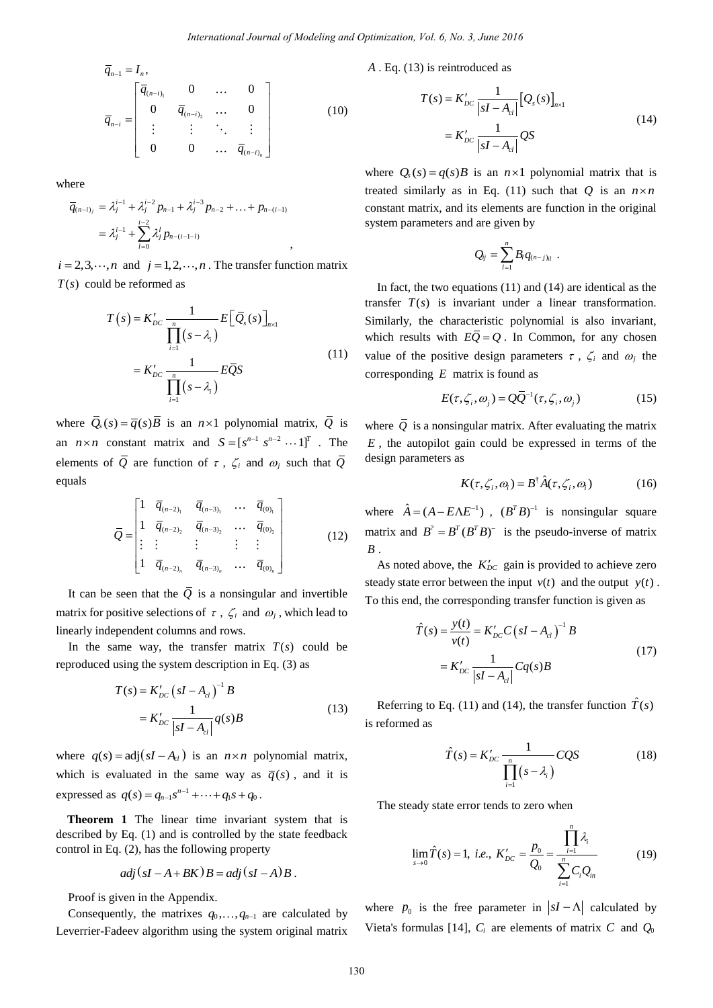$$
\overline{q}_{n-1} = I_n,
$$
\n
$$
\overline{q}_{n-i} = \begin{bmatrix}\n\overline{q}_{(n-i)} & 0 & \dots & 0 \\
0 & \overline{q}_{(n-i)} & \dots & 0 \\
\vdots & \vdots & \ddots & \vdots \\
0 & 0 & \dots & \overline{q}_{(n-i)}\n\end{bmatrix}
$$
\n(10)

where

Here  
\n
$$
\overline{q}_{(n-i)_j} = \lambda_j^{i-1} + \lambda_j^{i-2} p_{n-1} + \lambda_j^{i-3} p_{n-2} + \ldots + p_{n-(i-1)} \\
= \lambda_j^{i-1} + \sum_{l=0}^{i-2} \lambda_j^l p_{n-(i-1-l)} \qquad ,
$$

 $i = 2, 3, \dots, n$  and  $j = 1, 2, \dots, n$ . The transfer function matrix  $T(s)$  could be reformed as

$$
T(s) = K'_{DC} \frac{1}{\prod_{i=1}^{n} (s - \lambda_i)} E[\overline{Q}_s(s)]_{n \times 1}
$$
  
=  $K'_{DC} \frac{1}{\prod_{i=1}^{n} (s - \lambda_i)} E\overline{Q}S$  (11)

where  $\overline{Q}_s(s) = \overline{q}(s)\overline{B}$  is an  $n \times 1$  polynomial matrix,  $\overline{Q}$  is an  $n \times n$  constant matrix and  $S = [s^{n-1} \ s^{n-2} \cdots 1]^T$ . The elements of Q are function of  $\tau$ ,  $\zeta_i$  and  $\omega_j$  such that Q equals

$$
\overline{Q} = \begin{bmatrix} 1 & \overline{q}_{(n-2)_1} & \overline{q}_{(n-3)_1} & \cdots & \overline{q}_{(0)_1} \\ 1 & \overline{q}_{(n-2)_2} & \overline{q}_{(n-3)_2} & \cdots & \overline{q}_{(0)_2} \\ \vdots & \vdots & \vdots & \vdots & \vdots \\ 1 & \overline{q}_{(n-2)_n} & \overline{q}_{(n-3)_n} & \cdots & \overline{q}_{(0)_n} \end{bmatrix} \tag{12}
$$

It can be seen that the  $Q$  is a nonsingular and invertible matrix for positive selections of  $\tau$ ,  $\zeta_i$  and  $\omega_j$ , which lead to linearly independent columns and rows.

In the same way, the transfer matrix  $T(s)$  could be reproduced using the system description in Eq. (3) as

$$
T(s) = K'_{DC} (sI - A_{cl})^{-1} B
$$
  
=  $K'_{DC} \frac{1}{|sI - A_{cl}|} q(s) B$  (13)

where  $q(s) = adj(sI - A_{cl})$  is an  $n \times n$  polynomial matrix, which is evaluated in the same way as  $\overline{q}(s)$ , and it is expressed as  $q(s) = q_{n-1} s^{n-1} + \cdots + q_1 s + q_0$ .

**Theorem 1** The linear time invariant system that is described by Eq. (1) and is controlled by the state feedback control in Eq. (2), has the following property

$$
adj (sI - A + BK) B = adj (sI - A) B.
$$

Proof is given in the Appendix.

Consequently, the matrixes  $q_0, \ldots, q_{n-1}$  are calculated by Leverrier-Fadeev algorithm using the system original matrix

*A* . Eq. (13) is reintroduced as

$$
T(s) = K'_{DC} \frac{1}{|sI - A_{cl}|} [Q_s(s)]_{n \times 1}
$$
  
=  $K'_{DC} \frac{1}{|sI - A_{cl}|} QS$  (14)

where  $Q_s(s) = q(s)B$  is an  $n \times 1$  polynomial matrix that is treated similarly as in Eq. (11) such that Q is an  $n \times n$ constant matrix, and its elements are function in the original system parameters and are given by

$$
Q_{ij} = \sum_{l=1}^n B_l q_{(n-j)_{il}}.
$$

In fact, the two equations (11) and (14) are identical as the transfer  $T(s)$  is invariant under a linear transformation. Similarly, the characteristic polynomial is also invariant, which results with  $E\overline{Q} = Q$ . In Common, for any chosen value of the positive design parameters  $\tau$ ,  $\zeta_i$  and  $\omega_i$  the corresponding *E* matrix is found as *International Journal of Modeling and Optimization, Vol. 6, No. 3, June 2016*<br>  $\begin{pmatrix}\n\frac{1}{2} & \frac{1}{2} & \frac{1}{2} \\
0 & \cdots & 0 & 0 \\
0 & \cdots & 0 & 0 \\
0 & \cdots & 0 & 0 \\
0 & \cdots & 0 & 0 \\
0 & \cdots & 0 & 0 \\
0 & \cdots & 0 & 0 \\
0 & \cdots & 0 & 0 \\
0 & \cdots & 0 & 0 \\
0 & \cdots & 0 & 0 \\
0$ 

$$
E(\tau, \zeta_i, \omega_j) = Q\overline{Q}^{-1}(\tau, \zeta_i, \omega_j)
$$
 (15)

where  $\overline{Q}$  is a nonsingular matrix. After evaluating the matrix *E* , the autopilot gain could be expressed in terms of the design parameters as

$$
K(\tau, \zeta_i, \omega_i) = B^{\dagger} \hat{A}(\tau, \zeta_i, \omega_i)
$$
 (16)

where  $\hat{A} = (A - E\Lambda E^{-1})$ ,  $(B^T B)^{-1}$  is nonsingular square matrix and  $B^2 = B^T (B^T B)^{-1}$  is the pseudo-inverse of matrix *B* .

As noted above, the  $K'_{DC}$  gain is provided to achieve zero steady state error between the input  $v(t)$  and the output  $y(t)$ . To this end, the corresponding transfer function is given as

$$
\hat{T}(s) = \frac{y(t)}{v(t)} = K'_{DC} C (sI - A_{cl})^{-1} B
$$
  
=  $K'_{DC} \frac{1}{|sI - A_{cl}|} C q(s) B$  (17)

Referring to Eq. (11) and (14), the transfer function  $\hat{T}(s)$ is reformed as

$$
\hat{T}(s) = K'_{DC} \frac{1}{\prod_{i=1}^{n} (s - \lambda_i)} CQS
$$
\n(18)

The steady state error tends to zero when

$$
\lim_{s \to 0} \hat{T}(s) = 1, \ i.e., \ K'_{DC} = \frac{p_0}{Q_0} = \frac{\prod_{i=1}^{n} \lambda_i}{\sum_{i=1}^{n} C_i Q_{in}} \tag{19}
$$

where  $p_0$  is the free parameter in  $|sI - \Lambda|$  calculated by Vieta's formulas [\[14\]](#page-7-7),  $C_i$  are elements of matrix C and  $Q_0$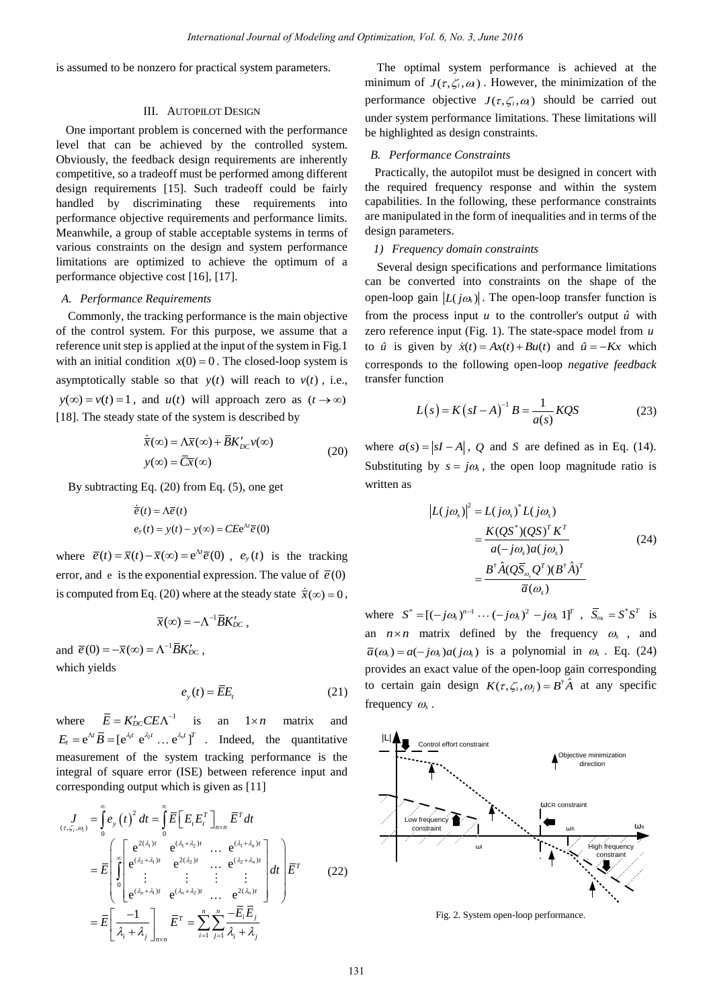is assumed to be nonzero for practical system parameters.

# III. AUTOPILOT DESIGN

One important problem is concerned with the performance level that can be achieved by the controlled system. Obviously, the feedback design requirements are inherently competitive, so a tradeoff must be performed among different design requirements [\[15\]](#page-7-8). Such tradeoff could be fairly handled by discriminating these requirements into performance objective requirements and performance limits. Meanwhile, a group of stable acceptable systems in terms of various constraints on the design and system performance limitations are optimized to achieve the optimum of a performance objective cost [\[16\]](#page-7-9), [\[17\]](#page-7-10).

#### *A. Performance Requirements*

Commonly, the tracking performance is the main objective of the control system. For this purpose, we assume that a reference unit step is applied at the input of the system in Fig.1 with an initial condition  $x(0) = 0$ . The closed-loop system is asymptotically stable so that  $y(t)$  will reach to  $v(t)$ , i.e.,  $y(\infty) = v(t) = 1$ , and  $u(t)$  will approach zero as  $(t \rightarrow \infty)$ [\[18\]](#page-7-11). The steady state of the system is described by

$$
\dot{\overline{x}}(\infty) = \Lambda \overline{x}(\infty) + \overline{B} K'_{DC} v(\infty)
$$
  
y(\infty) = \overline{C} \overline{x}(\infty) (20)

By subtracting Eq. (20) from Eq. (5), one get

$$
\dot{\overline{e}}(t) = \Lambda \overline{e}(t)
$$
  

$$
e_y(t) = y(t) - y(\infty) = C E e^{\Lambda t} \overline{e}(0)
$$

where  $\overline{e}(t) = \overline{x}(t) - \overline{x}(\infty) = e^{\lambda t} \overline{e}(0)$ ,  $e_y(t)$  is the tracking error, and e is the exponential expression. The value of  $\bar{e}(0)$ is computed from Eq. (20) where at the steady state  $\dot{\overline{x}}(\infty) = 0$ ,

$$
\overline{x}(\infty) = -\Lambda^{-1} \overline{B} K'_{DC} ,
$$

and  $\overline{e}(0) = -\overline{x}(\infty) = \Lambda^{-1} \overline{B} K'_{DC}$ , which yields

$$
e_y(t) = \overline{E}E_t \tag{21}
$$

where  $\overline{E} = K'_{DC} C E \Lambda^{-1}$  is an an  $1 \times n$  matrix and  $E_t = e^{\Lambda t} \overline{B} = [e^{\lambda_1 t} \ e^{\lambda_2 t} \ ... \ e^{\lambda_n t}]^T$  . Indeed, the quantitative measurement of the system tracking performance is the integral of square error (ISE) between reference input and

corresponding output which is given as [11]  
\n
$$
\begin{aligned}\nJ_{(\tau,\zeta_i,\omega_i)} &= \int_0^\infty e_y(t)^2 dt = \int_0^\infty \overline{E} \Big[ E_i E_i^T \Big]_{n \times n} \overline{E}^T dt \\
&= \overline{E} \left[ \int_0^\infty \left[ e^{(2\lambda_i)t} \right]_0^{\omega_1} e^{(2\lambda_i)t} \cdots e^{(2\lambda_i+\lambda_n)t} \right] dt \right] \overline{E}^T \\
&= \overline{E} \left[ \int_0^\infty \left[ e^{(2\lambda_i+\lambda_i)t} \right]_0^{\omega_1+\lambda_2/t} \cdots e^{(2\lambda_n)t} \right] dt \right] \overline{E}^T\n\end{aligned} \tag{22}
$$
\n
$$
= \overline{E} \left[ \frac{-1}{\lambda_i + \lambda_j} \right]_{n \times n} \overline{E}^T = \sum_{i=1}^n \sum_{j=1}^n \frac{-\overline{E}_i \overline{E}_j}{\lambda_i + \lambda_j}
$$

The optimal system performance is achieved at the minimum of  $J(\tau, \zeta_i, \omega_i)$ . However, the minimization of the performance objective  $J(\tau, \zeta_i, \omega)$  should be carried out under system performance limitations. These limitations will be highlighted as design constraints.

#### *B. Performance Constraints*

Practically, the autopilot must be designed in concert with the required frequency response and within the system capabilities. In the following, these performance constraints are manipulated in the form of inequalities and in terms of the design parameters.

# *1) Frequency domain constraints*

Several design specifications and performance limitations can be converted into constraints on the shape of the open-loop gain  $|L(j\omega_s)|$ . The open-loop transfer function is from the process input  $u$  to the controller's output  $\hat{u}$  with zero reference input (Fig. 1). The state-space model from *u* to  $\hat{u}$  is given by  $\dot{x}(t) = Ax(t) + Bu(t)$  and  $\hat{u} = -Kx$  which corresponds to the following open-loop *negative feedback* transfer function

$$
L(s) = K(sI - A)^{-1}B = \frac{1}{a(s)}KQS
$$
 (23)

where  $a(s) = |sI - A|$ , Q and S are defined as in Eq. (14). Substituting by  $s = j\omega_s$ , the open loop magnitude ratio is written as

$$
\begin{aligned} \left| L(j\omega_s) \right|^2 &= L(j\omega_s)^* L(j\omega_s) \\ &= \frac{K(QS^*)(QS)^T K^T}{a(-j\omega_s)a(j\omega_s)} \\ &= \frac{B^{\dagger} \hat{A}(Q\overline{S}_{\omega_s}Q^T)(B^{\dagger} \hat{A})^T}{\overline{a}(\omega_s)} \end{aligned} \tag{24}
$$

where  $S^* = [(-j\omega_s)^{n-1} \cdots (-j\omega_s)^2 - j\omega_s 1]^T$ ,  $\overline{S}_{\omega_s} = S^* S^T$  is an  $n \times n$  matrix defined by the frequency  $\omega_s$ , and  $\overline{a}(\omega_s) = a(-j\omega_s)a(j\omega_s)$  is a polynomial in  $\omega_s$ . Eq. (24) provides an exact value of the open-loop gain corresponding to certain gain design  $K(\tau, \zeta_i, \omega_i) = B^{\dagger} \hat{A}$  at any specific frequency  $\omega_s$ .



Fig. 2. System open-loop performance.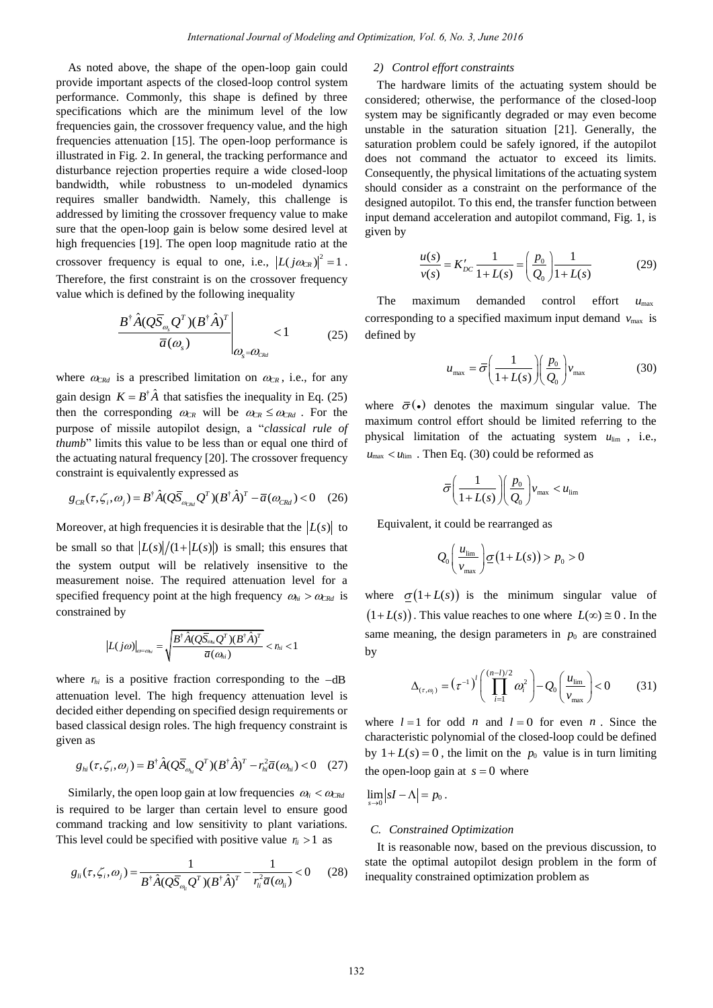As noted above, the shape of the open-loop gain could provide important aspects of the closed-loop control system performance. Commonly, this shape is defined by three specifications which are the minimum level of the low frequencies gain, the crossover frequency value, and the high frequencies attenuation [\[15\]](#page-7-8). The open-loop performance is illustrated in Fig. 2. In general, the tracking performance and disturbance rejection properties require a wide closed-loop bandwidth, while robustness to un-modeled dynamics requires smaller bandwidth. Namely, this challenge is addressed by limiting the crossover frequency value to make sure that the open-loop gain is below some desired level at high frequencies [19]. The open loop magnitude ratio at the crossover frequency is equal to one, i.e.,  $|L(j\omega_{CR})|^2 = 1$ . Therefore, the first constraint is on the crossover frequency value which is defined by the following inequality *International Journal of Modeling and Optimization, Vol. 6, No. 3, June 2018*<br>
greg of the coencilop gain could  $2$  *D Control offlor constrains*<br>
this shape is defined by three coencilors, the performation<br>
the shape

$$
\frac{B^{\dagger}\hat{A}(Q\overline{S}_{\omega_s}Q^T)(B^{\dagger}\hat{A})^T}{\overline{a}(\omega_s)}\Bigg|_{\omega_s=\omega_{\text{rad}}} < 1
$$
 (25)

where  $\omega_{C R d}$  is a prescribed limitation on  $\omega_{C R}$ , i.e., for any gain design  $K = B^{\dagger} \hat{A}$  that satisfies the inequality in Eq. (25) then the corresponding  $\omega_{CR}$  will be  $\omega_{CR} \leq \omega_{CRd}$ . For the purpose of missile autopilot design, a "*classical rule of thumb*" limits this value to be less than or equal one third of the actuating natural frequency [\[20\]](#page-7-12). The crossover frequency

constraint is equivalently expressed as  
\n
$$
g_{CR}(\tau, \zeta_i, \omega_j) = B^{\dagger} \hat{A} (Q \overline{S}_{\omega_{CRd}} Q^T) (B^{\dagger} \hat{A})^T - \overline{a} (\omega_{CRd}) < 0 \quad (26)
$$

Moreover, at high frequencies it is desirable that the  $|L(s)|$  to be small so that  $|L(s)|/(1+|L(s)|)$  is small; this ensures that the system output will be relatively insensitive to the measurement noise. The required attenuation level for a specified frequency point at the high frequency  $\omega_{hi} > \omega_{C R d}$  is constrained by

$$
\left|L(j\omega)\right|_{\omega=\omega_{hi}}=\sqrt{\frac{B^{\dagger}\hat{A}(Q\overline{S}_{\omega_{hi}}Q^T)(B^{\dagger}\hat{A})^T}{\overline{a}(\omega_{hi})}}<\eta_{ii}<1
$$

where  $r_{hi}$  is a positive fraction corresponding to the  $-dB$ attenuation level. The high frequency attenuation level is decided either depending on specified design requirements or based classical design roles. The high frequency constraint is given as

n as  

$$
g_{hi}(\tau, \zeta_i, \omega_j) = B^{\dagger} \hat{A} (Q \overline{S}_{\omega_{hi}} Q^T) (B^{\dagger} \hat{A})^T - r_{hi}^2 \overline{a} (\omega_{hi}) < 0 \quad (27)
$$

Similarly, the open loop gain at low frequencies  $\omega_i < \omega_{CRA}$ is required to be larger than certain level to ensure good command tracking and low sensitivity to plant variations.

This level could be specified with positive value 
$$
r_{li} > 1
$$
 as  
\n
$$
g_{li}(\tau, \zeta_i, \omega_j) = \frac{1}{B^{\dagger} \hat{A} (Q \overline{S}_{\omega_{li}} Q^T) (B^{\dagger} \hat{A})^T} - \frac{1}{r_{li}^2 \overline{a} (\omega_{li})} < 0
$$
\n(28)

# *2) Control effort constraints*

The hardware limits of the actuating system should be considered; otherwise, the performance of the closed-loop system may be significantly degraded or may even become unstable in the saturation situation [\[21\]](#page-7-13). Generally, the saturation problem could be safely ignored, if the autopilot does not command the actuator to exceed its limits. Consequently, the physical limitations of the actuating system should consider as a constraint on the performance of the designed autopilot. To this end, the transfer function between input demand acceleration and autopilot command, Fig. 1, is given by

$$
\frac{u(s)}{v(s)} = K'_{DC} \frac{1}{1 + L(s)} = \left(\frac{p_0}{Q_0}\right) \frac{1}{1 + L(s)}\tag{29}
$$

The maximum demanded control effort *u*max corresponding to a specified maximum input demand  $v_{\text{max}}$  is defined by

$$
u_{\text{max}} = \bar{\sigma} \left( \frac{1}{1 + L(s)} \right) \left( \frac{p_0}{Q_0} \right) v_{\text{max}} \tag{30}
$$

where  $\bar{\sigma}(\cdot)$  denotes the maximum singular value. The maximum control effort should be limited referring to the physical limitation of the actuating system  $u_{\text{lim}}$ , i.e.,  $u_{\text{max}} < u_{\text{lim}}$ . Then Eq. (30) could be reformed as

$$
\bar{\sigma} \Bigg(\frac{1}{1+L(s)}\Bigg) \Bigg(\frac{p_0}{Q_0}\Bigg) v_{\text{max}} < u_{\text{lim}}
$$

Equivalent, it could be rearranged as

$$
Q_0\left(\frac{u_{\text{lim}}}{v_{\text{max}}}\right)\underline{\sigma}(1+L(s)) > p_0 > 0
$$

where  $\sigma(1+L(s))$  is the minimum singular value of  $(1+L(s))$ . This value reaches to one where  $L(\infty) \equiv 0$ . In the same meaning, the design parameters in  $p_0$  are constrained by

$$
\Delta_{(\tau,\omega_i)} = (\tau^{-1})^i \left( \prod_{i=1}^{(n-l)/2} \omega_i^2 \right) - Q_0 \left( \frac{u_{\text{lim}}}{v_{\text{max}}} \right) < 0 \tag{31}
$$

where  $l = 1$  for odd *n* and  $l = 0$  for even *n*. Since the characteristic polynomial of the closed-loop could be defined by  $1 + L(s) = 0$ , the limit on the  $p_0$  value is in turn limiting the open-loop gain at  $s = 0$  where

 $\lim_{s\to 0} |sI-\Lambda|=p_0$ .

# *C. Constrained Optimization*

It is reasonable now, based on the previous discussion, to state the optimal autopilot design problem in the form of inequality constrained optimization problem as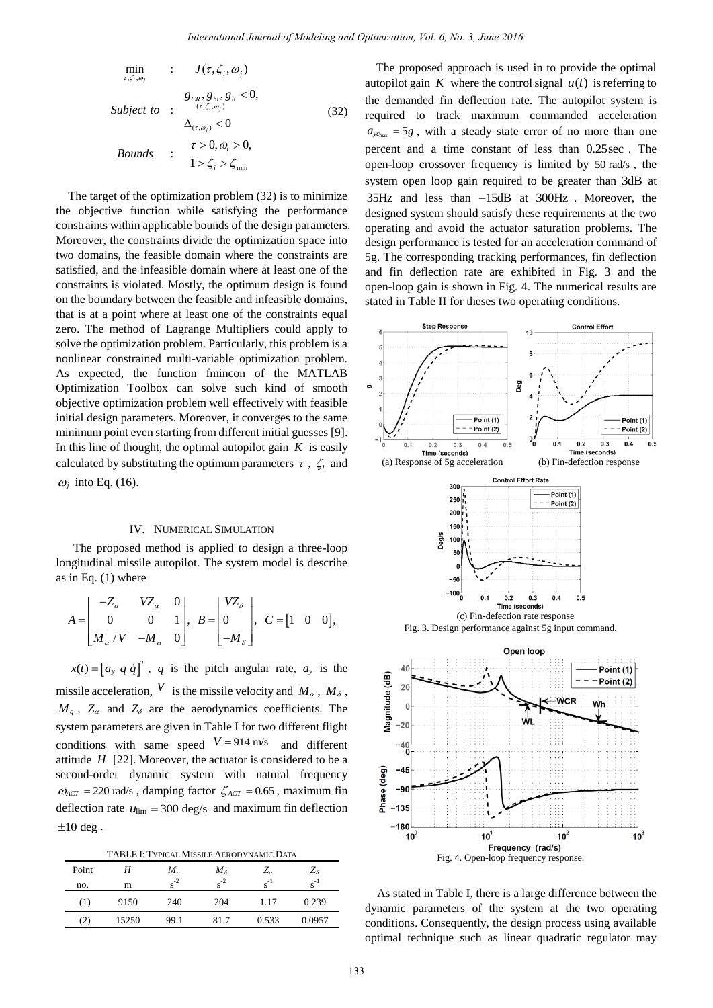$$
\min_{\tau, \zeta_i, \omega_j} : J(\tau, \zeta_i, \omega_j)
$$
\n
$$
\text{Subject to} : \begin{aligned}\n& g_{CR}, g_{hi}, g_i < 0, \\
& \xrightarrow{\tau, \zeta_i, \omega_j} < 0, \\
& \Delta_{(\tau, \omega_j)} < 0 \\
& \text{Bounds} : \begin{aligned}\n& \tau > 0, \omega_i > 0, \\
& 1 > \zeta_i > \zeta_{\min}\n\end{aligned}\n\end{aligned} \tag{32}
$$

The target of the optimization problem (32) is to minimize the objective function while satisfying the performance constraints within applicable bounds of the design parameters. Moreover, the constraints divide the optimization space into two domains, the feasible domain where the constraints are satisfied, and the infeasible domain where at least one of the constraints is violated. Mostly, the optimum design is found on the boundary between the feasible and infeasible domains, that is at a point where at least one of the constraints equal zero. The method of Lagrange Multipliers could apply to solve the optimization problem. Particularly, this problem is a nonlinear constrained multi-variable optimization problem. As expected, the function fmincon of the MATLAB Optimization Toolbox can solve such kind of smooth objective optimization problem well effectively with feasible initial design parameters. Moreover, it converges to the same minimum point even starting from different initial guesses [\[9\]](#page-7-2). In this line of thought, the optimal autopilot gain  $K$  is easily calculated by substituting the optimum parameters  $\tau$ ,  $\zeta$  and  $\omega_j$  into Eq. (16).

# IV. NUMERICAL SIMULATION

The proposed method is applied to design a three-loop longitudinal missile autopilot. The system model is describe as in Eq. (1) where

in Eq. (1) where  
\n
$$
A = \begin{bmatrix} -Z_{\alpha} & VZ_{\alpha} & 0 \\ 0 & 0 & 1 \\ M_{\alpha}/V & -M_{\alpha} & 0 \end{bmatrix}, B = \begin{bmatrix} VZ_{\delta} \\ 0 \\ -M_{\delta} \end{bmatrix}, C = \begin{bmatrix} 1 & 0 & 0 \end{bmatrix},
$$

 $x(t) = [a_y q \dot{q}]^T$ , q is the pitch angular rate,  $a_y$  is the missile acceleration,  $V$  is the missile velocity and  $M_{\alpha}$ ,  $M_{\delta}$ ,  $M_q$ ,  $Z_\alpha$  and  $Z_\delta$  are the aerodynamics coefficients. The system parameters are given in Table I for two different flight conditions with same speed  $V = 914 \text{ m/s}$  and different attitude  $H$  [\[22\]](#page-7-14). Moreover, the actuator is considered to be a second-order dynamic system with natural frequency  $\omega_{ACT}$  = 220 rad/s, damping factor  $\zeta_{ACT}$  = 0.65, maximum fin deflection rate  $u_{\text{lim}} = 300 \text{ deg/s}$  and maximum fin deflection  $\pm 10$  deg.

TABLE I: TYPICAL MISSILE AERODYNAMIC DATA

| Point | Н     | $M_{\alpha}$      | $M_{\delta}$  | $Z_{\alpha}$ | $Z_{\delta}$ |
|-------|-------|-------------------|---------------|--------------|--------------|
| no.   | m     | $\mathbf{S}^{-2}$ | $\rm{e}^{-2}$ | $s^{-1}$     | $e^{-1}$     |
| (1)   | 9150  | 240               | 204           | 1.17         | 0.239        |
| (2)   | 15250 | 99.1              | 81.7          | 0.533        | 0.0957       |

The proposed approach is used in to provide the optimal autopilot gain  $K$  where the control signal  $u(t)$  is referring to the demanded fin deflection rate. The autopilot system is required to track maximum commanded acceleration  $a_{y_{c_{\text{max}}}} = 5g$ , with a steady state error of no more than one percent and a time constant of less than 0.25sec . The open-loop crossover frequency is limited by 50 rad/s , the system open loop gain required to be greater than 3dB at 35Hz and less than  $-15dB$  at 300Hz. Moreover, the designed system should satisfy these requirements at the two operating and avoid the actuator saturation problems. The design performance is tested for an acceleration command of 5g. The corresponding tracking performances, fin deflection and fin deflection rate are exhibited in Fig. 3 and the open-loop gain is shown in Fig. 4. The numerical results are stated in Table II for theses two operating conditions.



As stated in Table I, there is a large difference between the dynamic parameters of the system at the two operating conditions. Consequently, the design process using available optimal technique such as linear quadratic regulator may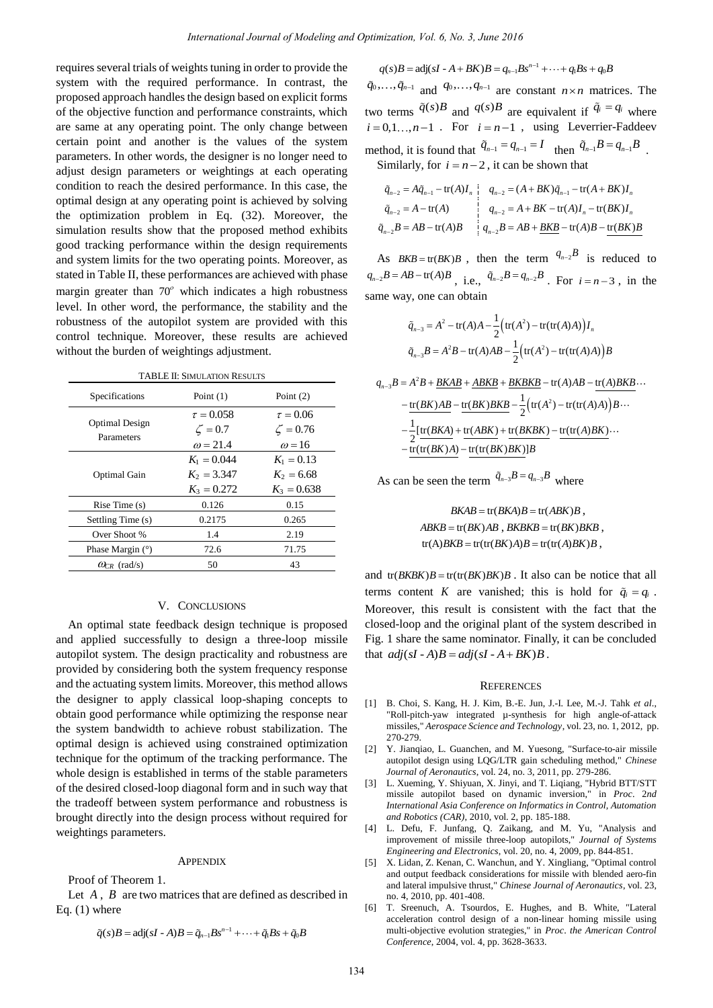requires several trials of weights tuning in order to provide the system with the required performance. In contrast, the proposed approach handles the design based on explicit forms of the objective function and performance constraints, which are same at any operating point. The only change between certain point and another is the values of the system parameters. In other words, the designer is no longer need to adjust design parameters or weightings at each operating condition to reach the desired performance. In this case, the optimal design at any operating point is achieved by solving the optimization problem in Eq. (32). Moreover, the simulation results show that the proposed method exhibits good tracking performance within the design requirements and system limits for the two operating points. Moreover, as stated in Table II, these performances are achieved with phase margin greater than  $70^{\circ}$  which indicates a high robustness level. In other word, the performance, the stability and the robustness of the autopilot system are provided with this control technique. Moreover, these results are achieved without the burden of weightings adjustment. *International Journal of Modeling and Optimization, Vol. 6, No. 3, June 2018*<br> **Explicituity interference on explicit forms of Covid and**  $q_0/\sqrt{n} = \frac{1}{2}$  **and**  $q_0/\sqrt{n} = \frac{1}{2}$ **<br>
<b>Explicit Covid and Optimization** of the m

TABLE II: SIMULATION RESULTS

| Specifications                      | Point $(1)$                                        | Point $(2)$                                      |  |
|-------------------------------------|----------------------------------------------------|--------------------------------------------------|--|
| <b>Optimal Design</b><br>Parameters | $\tau = 0.058$<br>$\zeta = 0.7$<br>$\omega$ = 21.4 | $\tau = 0.06$<br>$\zeta = 0.76$<br>$\omega$ = 16 |  |
| <b>Optimal Gain</b>                 | $K_1 = 0.044$<br>$K_2 = 3.347$<br>$K_3 = 0.272$    | $K_1 = 0.13$<br>$K_2 = 6.68$<br>$K_3 = 0.638$    |  |
| Rise Time $(s)$                     | 0.126                                              | 0.15                                             |  |
| Settling Time (s)                   | 0.2175                                             | 0.265                                            |  |
| Over Shoot %                        | 1.4                                                | 2.19                                             |  |
| Phase Margin (9)                    | 72.6                                               | 71.75                                            |  |
| $\omega_{CR}$ (rad/s)               | 50                                                 | 43                                               |  |

#### V. CONCLUSIONS

An optimal state feedback design technique is proposed and applied successfully to design a three-loop missile autopilot system. The design practicality and robustness are provided by considering both the system frequency response and the actuating system limits. Moreover, this method allows the designer to apply classical loop-shaping concepts to obtain good performance while optimizing the response near the system bandwidth to achieve robust stabilization. The optimal design is achieved using constrained optimization technique for the optimum of the tracking performance. The whole design is established in terms of the stable parameters of the desired closed-loop diagonal form and in such way that the tradeoff between system performance and robustness is brought directly into the design process without required for weightings parameters.

#### **APPENDIX**

Proof of Theorem 1.

Let  $A$ ,  $B$  are two matrices that are defined as described in Eq. (1) where

$$
\tilde{q}(s)B = adj(sI - A)B = \tilde{q}_{n-1}Bs^{n-1} + \cdots + \tilde{q}_1Bs + \tilde{q}_0B
$$

 $(s)B = adj(sI - A + BK)B = q_{n-1}Bs^{n-1} + \cdots + q_1Bs + q_0$  $q(s)B = adj(sI - A + BK)B = q_{n-1}Bs^{n-1} + \cdots + q_1Bs + q_0B$ = adj(sI - A + BK) $B = q_{n-1}Bs^{n-1} + \cdots + q_1Bs + q_0B$  $\tilde{q}_0, \ldots, \tilde{q}_{n-1}$  and  $q_0, \ldots, q_{n-1}$  are constant  $n \times n$  matrices. The two terms  $\tilde{q}(s)B$  and  $q(s)B$  are equivalent if  $\tilde{q}_i = q_i$  where  $i = 0, 1, \ldots, n-1$ . For  $i = n-1$ , using Leverrier-Faddeev

1

*n*

method, it is found that  $\tilde{q}_{n-1} = q_{n-1} = I$  then  $\tilde{q}_{n-1}B = q_{n-1}B$ .

Similarly, for 
$$
i = n - 2
$$
, it can be shown that  
\n
$$
\tilde{q}_{n-2} = A\tilde{q}_{n-1} - \text{tr}(A)I_n
$$
\n
$$
\tilde{q}_{n-2} = A - \text{tr}(A)
$$
\n
$$
\tilde{q}_{n-2} = A - \text{tr}(A)
$$
\n
$$
q_{n-2} = A + BK - \text{tr}(A)I_n - \text{tr}(BK)I_n
$$
\n
$$
\tilde{q}_{n-2}B = AB - \text{tr}(A)B
$$
\n
$$
q_{n-2}B = AB + BKB - \text{tr}(A)B - \text{tr}(BK)B
$$

As  $BKB = tr(BK)B$ , then the term  $q_{n-2}B$  is reduced to  $q_{n-2}B = AB - \text{tr}(A)B$ , i.e.,  $\tilde{q}_{n-2}B = q_{n-2}B$ . For  $i = n-3$ , in the same way, one can obtain

$$
\tilde{q}_{n-3} = A^2 - \text{tr}(A)A - \frac{1}{2} (\text{tr}(A^2) - \text{tr}(\text{tr}(A)A)) I_n
$$
  

$$
\tilde{q}_{n-3}B = A^2 B - \text{tr}(A)AB - \frac{1}{2} (\text{tr}(A^2) - \text{tr}(\text{tr}(A)A)) B
$$

$$
q_{n-3}B = A^2B + \underline{BKAB} + \underline{ABKB} + \underline{BKBKB} - \text{tr}(A)AB - \text{tr}(A)BKB \cdots
$$
  

$$
-\frac{\text{tr}(BK)AB}{2} - \frac{\text{tr}(BK)BE}{2} - \frac{1}{2}(\text{tr}(A^2) - \text{tr}(\text{tr}(A)A))B \cdots
$$
  

$$
-\frac{1}{2}[\frac{\text{tr}(BKA)}{\text{tr}(\text{tr}(BKA))} + \frac{\text{tr}(ABK)}{\text{tr}(BKBK)} + \frac{\text{tr}(BKBK)}{\text{tr}(BKBK)}]B - \frac{\text{tr}(\text{tr}(A)BK)}{\text{tr}(B(K)BK)}].
$$

As can be seen the term  $\tilde{q}_{n-3}B = q_{n-3}B$  where

 $BKAB = \text{tr}(BKA)B = \text{tr}(ABK)B$ ,  $ABKB = \text{tr}(BK)AB$ ,  $BKBKB = \text{tr}(BK)BKB$ ,  $tr(A)BKB = tr(tr(BK)A)B = tr(tr(A)BK)B$ ,

and  $tr(BKBK)B = tr(tr(BK)BK)B$ . It also can be notice that all terms content K are vanished; this is hold for  $\tilde{q}_i = q_i$ . Moreover, this result is consistent with the fact that the closed-loop and the original plant of the system described in Fig. 1 share the same nominator. Finally, it can be concluded Fig. 1 share the same nominator. Final<br>that  $adj(sI - A)B = adj(sI - A + BK)B$ .

#### **REFERENCES**

- <span id="page-6-0"></span>[1] B. Choi, S. Kang, H. J. Kim, B.-E. Jun, J.-I. Lee, M.-J. Tahk *et al*., "Roll-pitch-yaw integrated µ-synthesis for high angle-of-attack missiles," *Aerospace Science and Technology*, vol. 23, no. 1, 2012, pp. 270-279.
- <span id="page-6-1"></span>[2] Y. Jianqiao, L. Guanchen, and M. Yuesong, "Surface-to-air missile autopilot design using LQG/LTR gain scheduling method," *Chinese Journal of Aeronautics*, vol. 24, no. 3, 2011, pp. 279-286.
- <span id="page-6-2"></span>[3] L. Xueming, Y. Shiyuan, X. Jinyi, and T. Liqiang, "Hybrid BTT/STT missile autopilot based on dynamic inversion," in *Proc*. 2*nd International Asia Conference on Informatics in Control, Automation and Robotics (CAR)*, 2010, vol. 2, pp. 185-188.
- <span id="page-6-3"></span>[4] L. Defu, F. Junfang, Q. Zaikang, and M. Yu, "Analysis and improvement of missile three-loop autopilots," *Journal of Systems Engineering and Electronics*, vol. 20, no. 4, 2009, pp. 844-851.
- <span id="page-6-4"></span>[5] X. Lidan, Z. Kenan, C. Wanchun, and Y. Xingliang, "Optimal control and output feedback considerations for missile with blended aero-fin and lateral impulsive thrust," *Chinese Journal of Aeronautics*, vol. 23, no. 4, 2010, pp. 401-408.
- <span id="page-6-5"></span>[6] T. Sreenuch, A. Tsourdos, E. Hughes, and B. White, "Lateral acceleration control design of a non-linear homing missile using multi-objective evolution strategies," in *Proc*. *the American Control Conference*, 2004, vol. 4, pp. 3628-3633.